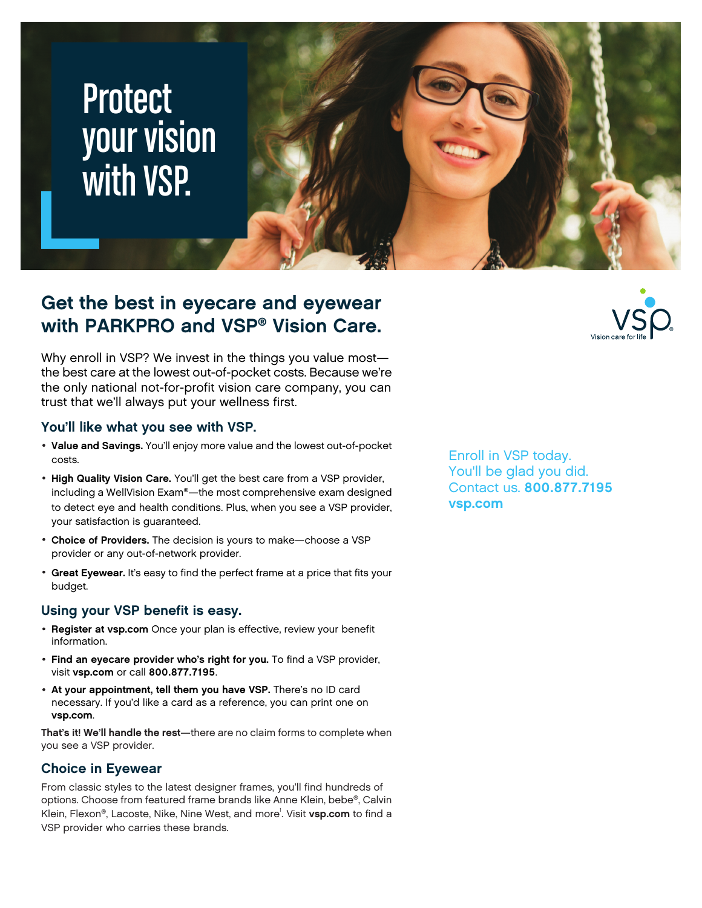# **Protect** your vision with VSP.



## **Get the best in eyecare and eyewear with PARKPRO and VSP® Vision Care.**

Why enroll in VSP? We invest in the things you value most the best care at the lowest out-of-pocket costs. Because we're the only national not-for-profit vision care company, you can trust that we'll always put your wellness first.

#### **You'll like what you see with VSP.**

- **Value and Savings.** You'll enjoy more value and the lowest out-of-pocket costs.
- **High Quality Vision Care.** You'll get the best care from a VSP provider, including a WellVision Exam®—the most comprehensive exam designed to detect eye and health conditions. Plus, when you see a VSP provider, your satisfaction is guaranteed.
- **Choice of Providers.** The decision is yours to make—choose a VSP provider or any out-of-network provider.
- **Great Eyewear.** It's easy to find the perfect frame at a price that fits your budget.

#### **Using your VSP benefit is easy.**

- **Register at [vsp.com](www.vsp.com)** Once your plan is effective, review your benefit information.
- **Find an eyecare provider who's right for you.** To find a VSP provider, visit **[vsp.com](www.vsp.com)** or call **800.877.7195**.
- **At your appointment, tell them you have VSP.** There's no ID card necessary. If you'd like a card as a reference, you can print one on **[vsp.com](www.vsp.com)**.

**That's it! We'll handle the rest**—there are no claim forms to complete when you see a VSP provider.

### **Choice in Eyewear**

From classic styles to the latest designer frames, you'll find hundreds of options. Choose from featured frame brands like Anne Klein, bebe®, Calvin Klein, Flexon®, Lacoste, Nike, Nine West, and more<sup>1</sup>. Visit [vsp.com](www.vsp.com) to find a VSP provider who carries these brands.

Enroll in VSP today. You'll be glad you did. Contact us. **800.877.7195 [vsp.com](http://www.vsp.com)**